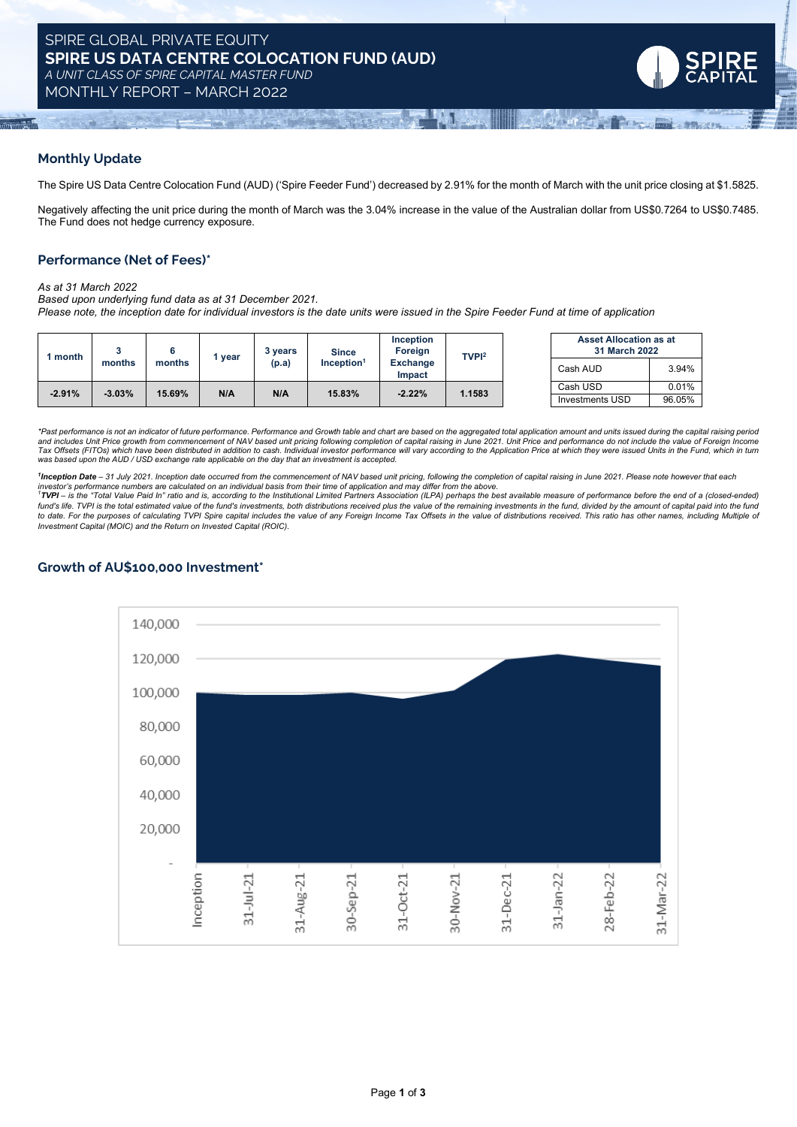

### **Monthly Update**

The Spire US Data Centre Colocation Fund (AUD) ('Spire Feeder Fund') decreased by 2.91% for the month of March with the unit price closing at \$1.5825.

Negatively affecting the unit price during the month of March was the 3.04% increase in the value of the Australian dollar from US\$0.7264 to US\$0.7485. The Fund does not hedge currency exposure.

### **Performance (Net of Fees)\***

#### *As at 31 March 2022*

*Based upon underlying fund data as at 31 December 2021.*  Please note, the inception date for individual investors is the date units were issued in the Spire Feeder Fund at time of application

| ' month  | months   | months | vear | vears<br>(p.a) | <b>Since</b><br>$Inc$ eption <sup>1</sup> | <b>Inception</b><br>Foreign<br><b>Exchange</b><br>Impact | TVP <sub>12</sub> | <b>Asset Allocation as at</b><br>31 March 2022 |        |
|----------|----------|--------|------|----------------|-------------------------------------------|----------------------------------------------------------|-------------------|------------------------------------------------|--------|
|          |          |        |      |                |                                           |                                                          |                   | Cash AUD                                       | 3.94%  |
| $-2.91%$ | $-3.03%$ | 15.69% | N/A  | N/A            | 15.83%                                    | $-2.22%$                                                 | .1583             | Cash USD                                       | 0.01%  |
|          |          |        |      |                |                                           |                                                          |                   | Investments USD                                | 96.05% |

| <b>Asset Allocation as at</b><br>31 March 2022 |        |  |  |  |
|------------------------------------------------|--------|--|--|--|
| Cash AUD                                       | 3.94%  |  |  |  |
| Cash USD                                       | 0.01%  |  |  |  |
| <b>Investments USD</b>                         | 96.05% |  |  |  |

\*Past performance is not an indicator of future performance. Performance and Growth table and chart are based on the aggregated total application amount and units issued during the capital raising period and includes Unit Price growth from commencement of NAV based unit pricing following completion of capital raising in June 2021. Unit Price and performance do not include the value of Foreign Income<br>Tax Offsets (FITOs) whi *was based upon the AUD / USD exchange rate applicable on the day that an investment is accepted.*

<sup>1</sup>Inception Date - 31 July 2021. Inception date occurred from the commencement of NAV based unit pricing, following the completion of capital raising in June 2021. Please note however that each

investor's performance numbers are calculated on an individual basis from their time of application and may differ from the above.<br>1**TVPI** – is the "Total Value Paid In" ratio and is, according to the Institutional Limited fund's life. TVPI is the total estimated value of the fund's investments, both distributions received plus the value of the remaining investments in the fund, divided by the amount of capital paid into the fund to date. For the purposes of calculating TVPI Spire capital includes the value of any Foreign Income Tax Offsets in the value of distributions received. This ratio has other names, including Multiple of *Investment Capital (MOIC) and the Return on Invested Capital (ROIC).*

# **Growth of AU\$100,000 Investment\***

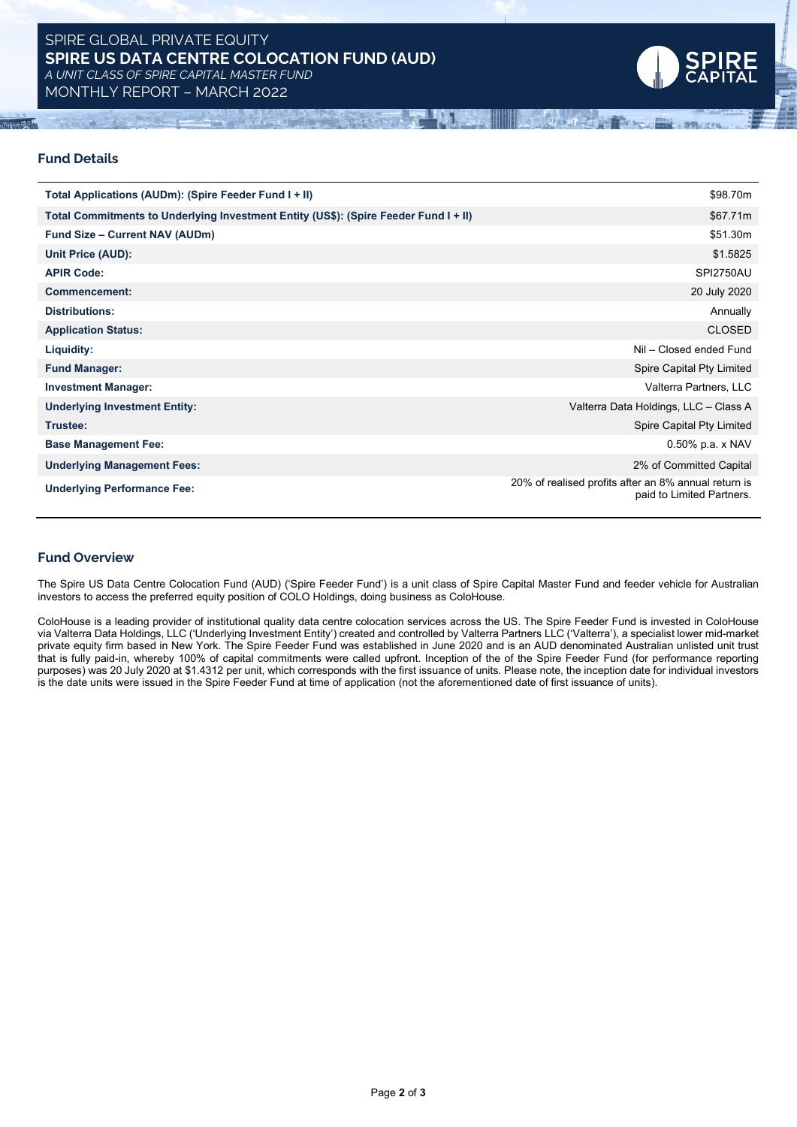

### **Fund Details**

| Total Applications (AUDm): (Spire Feeder Fund I + II)                                | \$98.70m                                                                          |
|--------------------------------------------------------------------------------------|-----------------------------------------------------------------------------------|
| Total Commitments to Underlying Investment Entity (US\$): (Spire Feeder Fund I + II) | \$67.71m                                                                          |
| <b>Fund Size - Current NAV (AUDm)</b>                                                | \$51.30m                                                                          |
| Unit Price (AUD):                                                                    | \$1.5825                                                                          |
| <b>APIR Code:</b>                                                                    | <b>SPI2750AU</b>                                                                  |
| <b>Commencement:</b>                                                                 | 20 July 2020                                                                      |
| <b>Distributions:</b>                                                                | Annually                                                                          |
| <b>Application Status:</b>                                                           | <b>CLOSED</b>                                                                     |
| Liquidity:                                                                           | Nil - Closed ended Fund                                                           |
| <b>Fund Manager:</b>                                                                 | Spire Capital Pty Limited                                                         |
| <b>Investment Manager:</b>                                                           | Valterra Partners, LLC                                                            |
| <b>Underlying Investment Entity:</b>                                                 | Valterra Data Holdings, LLC - Class A                                             |
| Trustee:                                                                             | Spire Capital Pty Limited                                                         |
| <b>Base Management Fee:</b>                                                          | $0.50\%$ p.a. x NAV                                                               |
| <b>Underlying Management Fees:</b>                                                   | 2% of Committed Capital                                                           |
| <b>Underlying Performance Fee:</b>                                                   | 20% of realised profits after an 8% annual return is<br>paid to Limited Partners. |

#### **Fund Overview**

The Spire US Data Centre Colocation Fund (AUD) ('Spire Feeder Fund') is a unit class of Spire Capital Master Fund and feeder vehicle for Australian investors to access the preferred equity position of COLO Holdings, doing business as ColoHouse.

ColoHouse is a leading provider of institutional quality data centre colocation services across the US. The Spire Feeder Fund is invested in ColoHouse via Valterra Data Holdings, LLC ('Underlying Investment Entity') created and controlled by Valterra Partners LLC ('Valterra'), a specialist lower mid-market private equity firm based in New York. The Spire Feeder Fund was established in June 2020 and is an AUD denominated Australian unlisted unit trust that is fully paid-in, whereby 100% of capital commitments were called upfront. Inception of the of the Spire Feeder Fund (for performance reporting purposes) was 20 July 2020 at \$1.4312 per unit, which corresponds with the first issuance of units. Please note, the inception date for individual investors is the date units were issued in the Spire Feeder Fund at time of application (not the aforementioned date of first issuance of units).